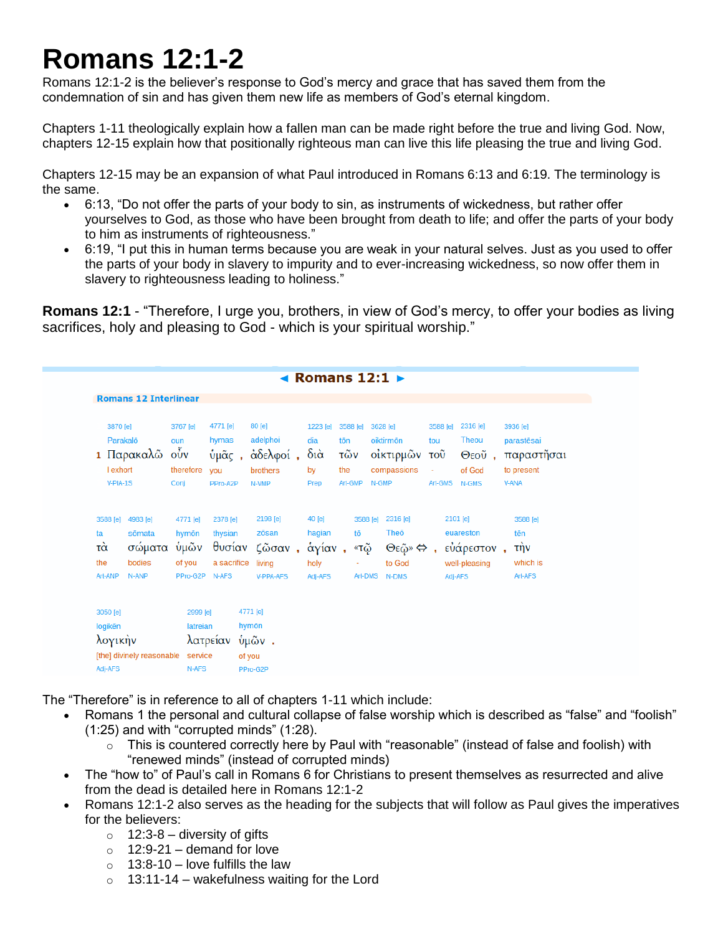## **Romans 12:1-2**

Romans 12:1-2 is the believer's response to God's mercy and grace that has saved them from the condemnation of sin and has given them new life as members of God's eternal kingdom.

Chapters 1-11 theologically explain how a fallen man can be made right before the true and living God. Now, chapters 12-15 explain how that positionally righteous man can live this life pleasing the true and living God.

Chapters 12-15 may be an expansion of what Paul introduced in Romans 6:13 and 6:19. The terminology is the same.

- 6:13, "Do not offer the parts of your body to sin, as instruments of wickedness, but rather offer yourselves to God, as those who have been brought from death to life; and offer the parts of your body to him as instruments of righteousness."
- 6:19, "I put this in human terms because you are weak in your natural selves. Just as you used to offer the parts of your body in slavery to impurity and to ever-increasing wickedness, so now offer them in slavery to righteousness leading to holiness."

**Romans 12:1** - "Therefore, I urge you, brothers, in view of God's mercy, to offer your bodies as living sacrifices, holy and pleasing to God - which is your spiritual worship."

| ◀ Romans $12:1\triangleright$                                          |                                                            |                                                           |                                               |                                                           |                                                         |                                          |                     |                                                       |                                        |                                                                 |  |                                                                          |
|------------------------------------------------------------------------|------------------------------------------------------------|-----------------------------------------------------------|-----------------------------------------------|-----------------------------------------------------------|---------------------------------------------------------|------------------------------------------|---------------------|-------------------------------------------------------|----------------------------------------|-----------------------------------------------------------------|--|--------------------------------------------------------------------------|
|                                                                        | <b>Romans 12 Interlinear</b>                               |                                                           |                                               |                                                           |                                                         |                                          |                     |                                                       |                                        |                                                                 |  |                                                                          |
|                                                                        | 3870 [e]<br>Parakalō<br>1 Παρακαλώ<br>I exhort<br>V-PIA-1S | 3767 [e]<br>oun<br>$\vec{\text{ov}}$<br>therefore<br>Conj | 4771 [e]<br>hymas<br>ύμᾶς,<br>you<br>PPro-A2P | 80 [e]<br>adelphoi<br>άδελφοί,<br>brothers<br>N-VMP       | 1223 [e]<br>dia<br>$\delta i\dot{\alpha}$<br>by<br>Prep | 3588 [e]<br>tōn<br>τῶν<br>the<br>Art-GMP | N-GMP               | 3628 [e]<br>oiktirmōn<br>οίκτιρμών του<br>compassions | 3588 [e]<br>tou<br>$\omega$<br>Art-GMS | 2316 [e]<br><b>Theou</b><br>of God<br>N-GMS                     |  | 3936 [e]<br>parastēsai<br>Θεού, παραστήσαι<br>to present<br><b>V-ANA</b> |
| 3588 [e]<br>ta<br>τά<br>the<br>Art-ANP                                 | 4983 [e]<br>sōmata<br>σώματα<br>bodies<br>N-ANP            | 4771 [e]<br>hymōn<br>ὑμῶν<br>of you<br>PPro-G2P           | 2378 [e]<br>thysian<br>a sacrifice<br>N-AFS   | 2198 [e]<br>zōsan<br>θυσίαν ζῶσαν,<br>living<br>V-PPA-AFS | 40 [e]<br>hagian<br>άγίαν,<br>holy<br>Adj-AFS           | tō<br>«τῷ<br>÷                           | 3588 [e]<br>Art-DMS | 2316 [e]<br>Theo<br>Θεῷ» ⇔,<br>to God<br>N-DMS        |                                        | 2101 [e]<br>euareston<br>εὐάρεστον,<br>well-pleasing<br>Adj-AFS |  | 3588 [e]<br>tēn<br>τὴν<br>which is<br>Art-AFS                            |
| 3050 [e]<br>logikēn<br>λογικήν<br>[the] divinely reasonable<br>Adj-AFS |                                                            | 2999 [e]<br>latreian<br>service<br>N-AFS                  | λατρείαν                                      | 4771 [e]<br>hymōn<br>ύμῶν.<br>of you<br>PPro-G2P          |                                                         |                                          |                     |                                                       |                                        |                                                                 |  |                                                                          |

The "Therefore" is in reference to all of chapters 1-11 which include:

- Romans 1 the personal and cultural collapse of false worship which is described as "false" and "foolish" (1:25) and with "corrupted minds" (1:28).
	- $\circ$  This is countered correctly here by Paul with "reasonable" (instead of false and foolish) with "renewed minds" (instead of corrupted minds)
- The "how to" of Paul's call in Romans 6 for Christians to present themselves as resurrected and alive from the dead is detailed here in Romans 12:1-2
- Romans 12:1-2 also serves as the heading for the subjects that will follow as Paul gives the imperatives for the believers:
	- $\circ$  12:3-8 diversity of aifts
	- $\circ$  12:9-21 demand for love
	- $\circ$  13:8-10 love fulfills the law
	- $\circ$  13:11-14 wakefulness waiting for the Lord